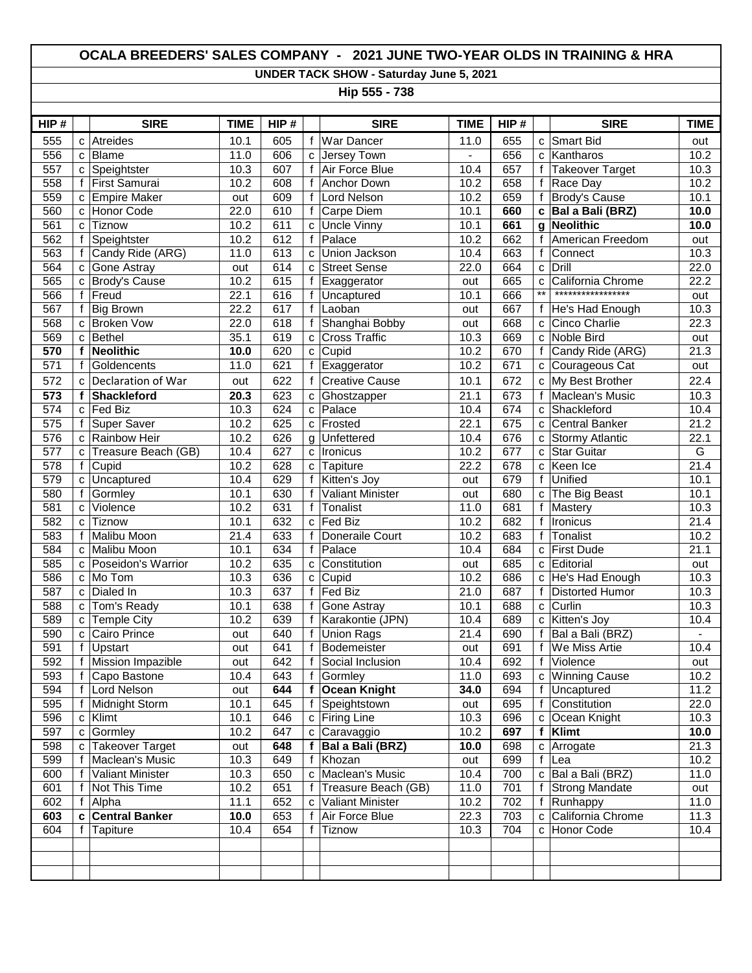## **OCALA BREEDERS' SALES COMPANY - 2021 JUNE TWO-YEAR OLDS IN TRAINING & HRA**

**UNDER TACK SHOW - Saturday June 5, 2021**

**Hip 555 - 738**

| HIP#             |              | <b>SIRE</b>             | <b>TIME</b> | HIP# |              | <b>SIRE</b>             | <b>TIME</b>       | HIP# |                 | <b>SIRE</b>            | <b>TIME</b>       |
|------------------|--------------|-------------------------|-------------|------|--------------|-------------------------|-------------------|------|-----------------|------------------------|-------------------|
| 555              | C            | Atreides                | 10.1        | 605  | f            | <b>War Dancer</b>       | 11.0              | 655  | C               | <b>Smart Bid</b>       | out               |
| 556              | C            | Blame                   | 11.0        | 606  | C            | Jersey Town             | $\mathbf{r}$      | 656  | C               | Kantharos              | 10.2              |
| 557              | C            | Speightster             | 10.3        | 607  | f            | Air Force Blue          | 10.4              | 657  | f               | <b>Takeover Target</b> | 10.3              |
| 558              | f            | First Samurai           | 10.2        | 608  | f            | Anchor Down             | 10.2              | 658  | f               | Race Day               | 10.2              |
| 559              | C            | <b>Empire Maker</b>     | out         | 609  | f            | Lord Nelson             | 10.2              | 659  | f               | <b>Brody's Cause</b>   | 10.1              |
| 560              | C            | Honor Code              | 22.0        | 610  | f            | Carpe Diem              | 10.1              | 660  | C               | Bal a Bali (BRZ)       | 10.0              |
| 561              | C            | Tiznow                  | 10.2        | 611  | C            | <b>Uncle Vinny</b>      | 10.1              | 661  | g               | <b>Neolithic</b>       | 10.0              |
| 562              | f            | Speightster             | 10.2        | 612  | f            | Palace                  | 10.2              | 662  | f               | American Freedom       | out               |
| 563              |              | Candy Ride (ARG)        | 11.0        | 613  | c            | Union Jackson           | 10.4              | 663  | f               | Connect                | 10.3              |
| 564              | с            | Gone Astray             | out         | 614  | c            | <b>Street Sense</b>     | 22.0              | 664  | C               | Drill                  | 22.0              |
| 565              | c            | <b>Brody's Cause</b>    | 10.2        | 615  | f            | Exaggerator             | out               | 665  | C               | California Chrome      | 22.2              |
| 566              | $\mathsf{f}$ | Freud                   | 22.1        | 616  | $\mathsf f$  | Uncaptured              | 10.1              | 666  | $^{\star\star}$ | *****************      | out               |
| 567              |              | <b>Big Brown</b>        | 22.2        | 617  | $\mathsf{f}$ | Laoban                  | out               | 667  | f               | He's Had Enough        | 10.3              |
| 568              | C            | <b>Broken Vow</b>       | 22.0        | 618  | f            | Shanghai Bobby          | out               | 668  | C               | Cinco Charlie          | $\overline{22.3}$ |
| 569              | C            | Bethel                  | 35.1        | 619  | C            | <b>Cross Traffic</b>    | 10.3              | 669  | C               | Noble Bird             | out               |
| 570              | f            | <b>Neolithic</b>        | 10.0        | 620  | c            | Cupid                   | 10.2              | 670  | f               | Candy Ride (ARG)       | $\overline{21.3}$ |
| 571              | f            | Goldencents             | 11.0        | 621  | f            | Exaggerator             | 10.2              | 671  | C               | Courageous Cat         | out               |
| 572              | $\mathbf{C}$ | Declaration of War      | out         | 622  | f            | <b>Creative Cause</b>   | 10.1              | 672  | C               | My Best Brother        | 22.4              |
| 573              | f            | Shackleford             | 20.3        | 623  | c            | Ghostzapper             | 21.1              | 673  | f               | Maclean's Music        | 10.3              |
| 574              | C            | Fed Biz                 | 10.3        | 624  | C            | Palace                  | 10.4              | 674  | C               | Shackleford            | 10.4              |
| 575              | f            | <b>Super Saver</b>      | 10.2        | 625  | C            | Frosted                 | 22.1              | 675  | C               | <b>Central Banker</b>  | 21.2              |
| 576              | с            | Rainbow Heir            | 10.2        | 626  | g            | Unfettered              | 10.4              | 676  | с               | <b>Stormy Atlantic</b> | 22.1              |
| 577              | c            | Treasure Beach (GB)     | 10.4        | 627  | C            | Ironicus                | 10.2              | 677  | C               | <b>Star Guitar</b>     | $\overline{G}$    |
| 578              | f            | Cupid                   | 10.2        | 628  | C            | Tapiture                | 22.2              | 678  | C               | Keen Ice               | 21.4              |
| 579              | C            | Uncaptured              | 10.4        | 629  | $\mathsf f$  | Kitten's Joy            | out               | 679  | $\mathsf f$     | <b>Unified</b>         | 10.1              |
| 580              | f            | Gormley                 | 10.1        | 630  | f            | <b>Valiant Minister</b> | out               | 680  | C               | The Big Beast          | 10.1              |
| 581              | C            | Violence                | 10.2        | 631  | $\mathsf{f}$ | Tonalist                | 11.0              | 681  | f               | Mastery                | 10.3              |
| $\overline{582}$ | C            | Tiznow                  | 10.1        | 632  | C            | <b>Fed Biz</b>          | 10.2              | 682  | f               | Ironicus               | $\overline{21.4}$ |
| 583              | f            | Malibu Moon             | 21.4        | 633  | f            | Doneraile Court         | 10.2              | 683  | f               | Tonalist               | 10.2              |
| 584              | C            | Malibu Moon             | 10.1        | 634  | f            | Palace                  | 10.4              | 684  | C               | <b>First Dude</b>      | 21.1              |
| 585              | C            | Poseidon's Warrior      | 10.2        | 635  | c            | Constitution            | out               | 685  | C               | Editorial              | out               |
| 586              |              | c   Mo Tom              | 10.3        | 636  |              | $c$ Cupid               | 10.2              | 686  | С               | He's Had Enough        | 10.3              |
| 587              | C            | Dialed In               | 10.3        | 637  | f            | Fed Biz                 | 21.0              | 687  | f               | <b>Distorted Humor</b> | 10.3              |
| 588              | с            | Tom's Ready             | 10.1        | 638  | f            | Gone Astray             | 10.1              | 688  | C               | Curlin                 | 10.3              |
| 589              | с            | Temple City             | 10.2        | 639  | $\mathsf{f}$ | Karakontie (JPN)        | 10.4              | 689  | C               | Kitten's Joy           | 10.4              |
| 590              | C            | Cairo Prince            | out         | 640  | $\mathsf{f}$ | Union Rags              | 21.4              | 690  | f               | Bal a Bali (BRZ)       | $\mathbf{r}$      |
| 591              | f            | Upstart                 | out         | 641  | f            | Bodemeister             | out               | 691  | f               | We Miss Artie          | 10.4              |
| 592              | f            | Mission Impazible       | out         | 642  | f            | Social Inclusion        | 10.4              | 692  | f               | Violence               | out               |
| 593              | f            | Capo Bastone            | 10.4        | 643  | $\mathbf{f}$ | Gormley                 | 11.0              | 693  | C               | <b>Winning Cause</b>   | 10.2              |
| 594              |              | <b>Lord Nelson</b>      | out         | 644  | f            | <b>Ocean Knight</b>     | 34.0              | 694  | f               | Uncaptured             | 11.2              |
| 595              | f            | Midnight Storm          | 10.1        | 645  | f            | Speightstown            | out               | 695  | f               | Constitution           | 22.0              |
| 596              |              | $c$ Klimt               | 10.1        | 646  |              | c Firing Line           | 10.3              | 696  | C               | Ocean Knight           | 10.3              |
| 597              | C            | Gormley                 | 10.2        | 647  |              | c Caravaggio            | 10.2              | 697  | f               | Klimt                  | 10.0              |
| 598              | C            | Takeover Target         | out         | 648  | f            | Bal a Bali (BRZ)        | 10.0              | 698  | C               | Arrogate               | 21.3              |
| 599              |              | Maclean's Music         | 10.3        | 649  | f            | Khozan                  | out               | 699  | $\mathsf f$     | Lea                    | 10.2              |
| 600              | $\mathsf{f}$ | <b>Valiant Minister</b> | 10.3        | 650  | $\mathbf{C}$ | Maclean's Music         | 10.4              | 700  | C               | Bal a Bali (BRZ)       | 11.0              |
| 601              | f            | Not This Time           | 10.2        | 651  | f            | Treasure Beach (GB)     | 11.0              | 701  | f               | <b>Strong Mandate</b>  | out               |
| 602              | f            | Alpha                   | 11.1        | 652  | C            | <b>Valiant Minister</b> | $\overline{10.2}$ | 702  | f               | Runhappy               | 11.0              |
| 603              | c            | <b>Central Banker</b>   | 10.0        | 653  | f            | Air Force Blue          | 22.3              | 703  | C               | California Chrome      | 11.3              |
| 604              |              | Tapiture                | 10.4        | 654  | f            | Tiznow                  | 10.3              | 704  | C               | Honor Code             | 10.4              |
|                  |              |                         |             |      |              |                         |                   |      |                 |                        |                   |
|                  |              |                         |             |      |              |                         |                   |      |                 |                        |                   |
|                  |              |                         |             |      |              |                         |                   |      |                 |                        |                   |
|                  |              |                         |             |      |              |                         |                   |      |                 |                        |                   |